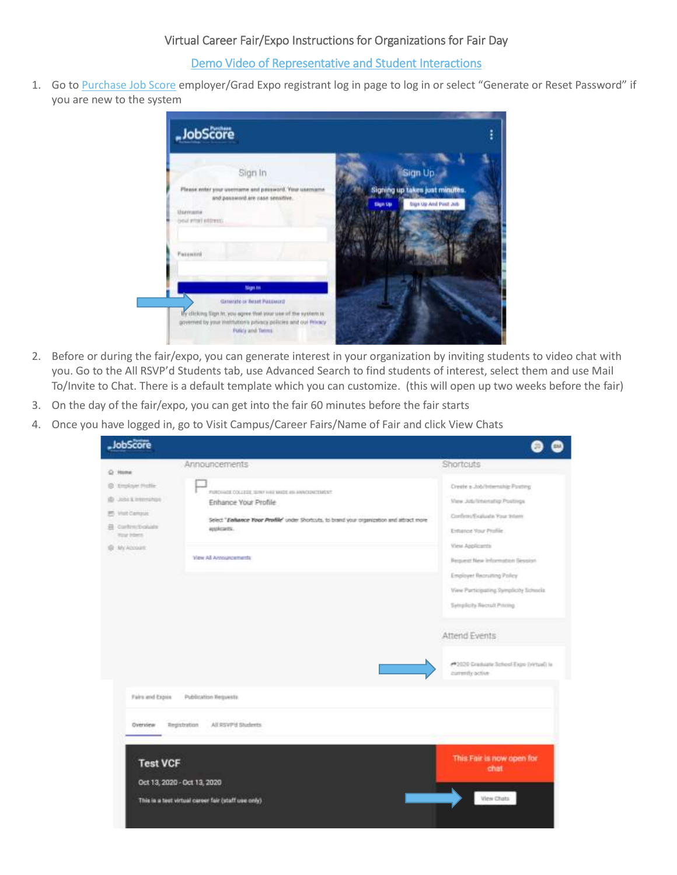## [Demo Video of Representative and Student Interactions](https://symp-my.sharepoint.com/:v:/g/personal/rflorey_symplicity_com/ERewgi9V1FVCojko_di_PQcBLgkF7T6IeKYJ3hXAEEfaCg?e=MAj9zY)

1. Go to [Purchase Job Score](https://suny-purchase-csm.symplicity.com/employers/?signin_tab=0) employer/Grad Expo registrant log in page to log in or select "Generate or Reset Password" if you are new to the system



- 2. Before or during the fair/expo, you can generate interest in your organization by inviting students to video chat with you. Go to the All RSVP'd Students tab, use Advanced Search to find students of interest, select them and use Mail To/Invite to Chat. There is a default template which you can customize. (this will open up two weeks before the fair)
- 3. On the day of the fair/expo, you can get into the fair 60 minutes before the fair starts
- 4. Once you have logged in, go to Visit Campus/Career Fairs/Name of Fair and click View Chats

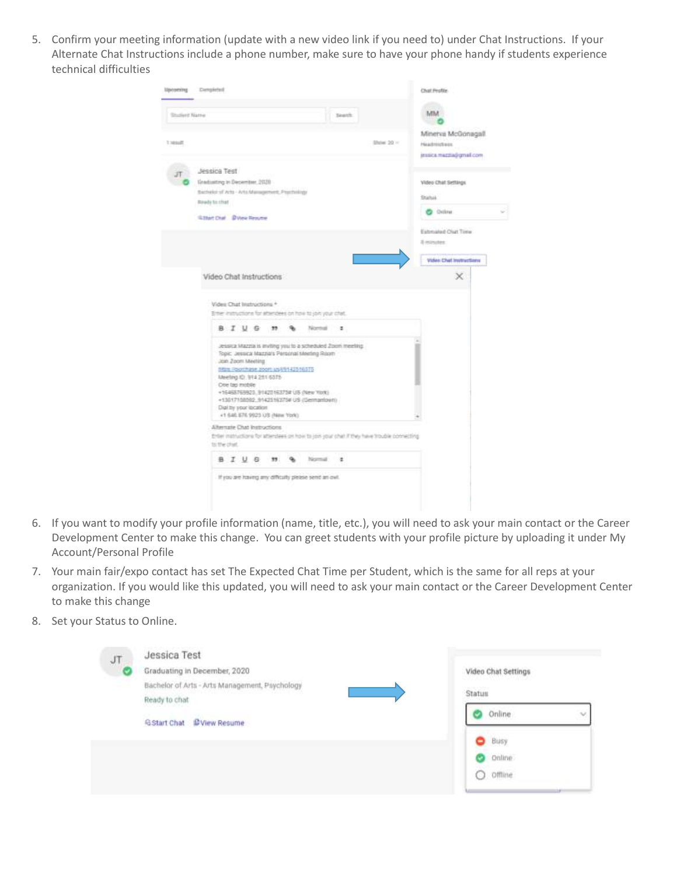5. Confirm your meeting information (update with a new video link if you need to) under Chat Instructions. If your Alternate Chat Instructions include a phone number, make sure to have your phone handy if students experience technical difficulties



- 6. If you want to modify your profile information (name, title, etc.), you will need to ask your main contact or the Career Development Center to make this change. You can greet students with your profile picture by uploading it under My Account/Personal Profile
- 7. Your main fair/expo contact has set The Expected Chat Time per Student, which is the same for all reps at your organization. If you would like this updated, you will need to ask your main contact or the Career Development Center to make this change
- 8. Set your Status to Online.

| JT<br>c | Jessica Test<br>Graduating in December, 2020<br>Bachelor of Arts - Arts Management, Psychology<br>[2] [BANK MAY THAT MAY WANT WAS TRANSPORTED TO<br>Ready to chat | Video Chat Settings<br>1924, 1935<br>Status |
|---------|-------------------------------------------------------------------------------------------------------------------------------------------------------------------|---------------------------------------------|
|         | GStart Chat DView Resume                                                                                                                                          | Online<br>$\mathcal{A}$                     |
|         |                                                                                                                                                                   | Busy<br>8<br>Online<br>ര<br>$O$ offline     |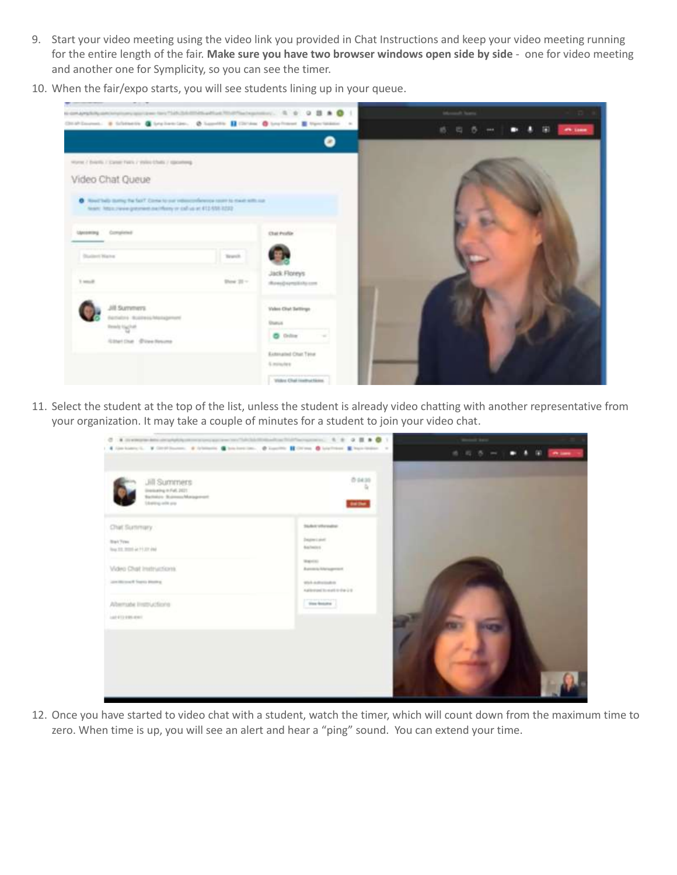- 9. Start your video meeting using the video link you provided in Chat Instructions and keep your video meeting running for the entire length of the fair. **Make sure you have two browser windows open side by side** - one for video meeting and another one for Symplicity, so you can see the timer.
- 10. When the fair/expo starts, you will see students lining up in your queue.



11. Select the student at the top of the list, unless the student is already video chatting with another representative from your organization. It may take a couple of minutes for a student to join your video chat.

| C A companies and dependence of the companies of the ball development of the C E & B & C 1<br>A General Victimes, A Granad Company Company Company, Company Company Company Company of |                                                                                                                                                                                                   | . .<br><b>City Lane</b><br>通り取り |
|----------------------------------------------------------------------------------------------------------------------------------------------------------------------------------------|---------------------------------------------------------------------------------------------------------------------------------------------------------------------------------------------------|---------------------------------|
| Jill Summers<br>Drenkeling in Full, 2021<br><b>Bachiner</b> Statementharagement<br><b>Stating with any</b>                                                                             | 0.0435<br>٠<br><b>Balling</b>                                                                                                                                                                     |                                 |
| Chat Summary.<br><b>Bart Free</b><br>Tour St. 9005 at 71,07 (th)<br><b>Video Chat Instructions</b><br>an illiment from money<br>Alternate Instructions<br>1401218-007                  | <b>Student schematist</b><br>Department<br>dialimins.<br>Wagners or<br><b>Business Management</b><br>With Authorization<br>Automobilización da 2.6<br>tion boars<br>the control of the control of |                                 |

12. Once you have started to video chat with a student, watch the timer, which will count down from the maximum time to zero. When time is up, you will see an alert and hear a "ping" sound. You can extend your time.